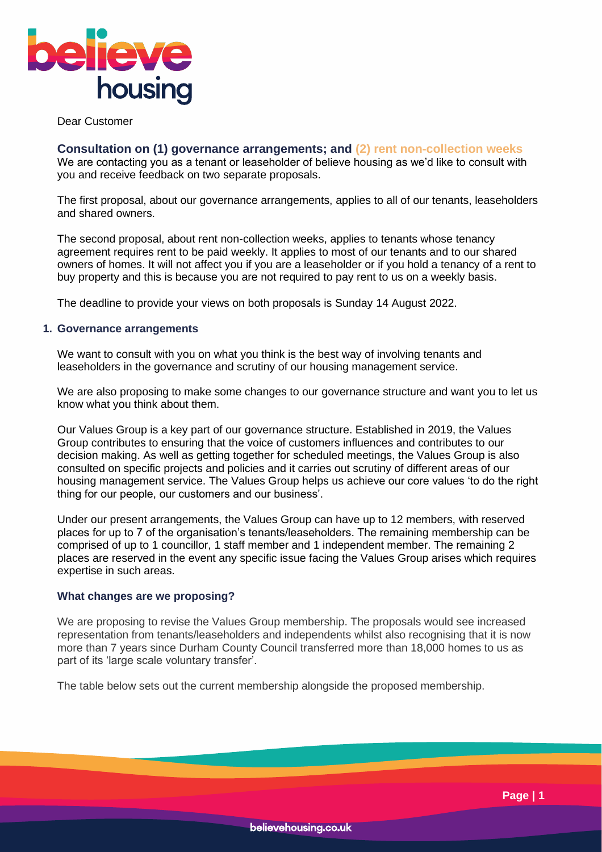

Dear Customer

**Consultation on (1) governance arrangements; and (2) rent non-collection weeks** We are contacting you as a tenant or leaseholder of believe housing as we'd like to consult with you and receive feedback on two separate proposals.

The first proposal, about our governance arrangements, applies to all of our tenants, leaseholders and shared owners.

The second proposal, about rent non-collection weeks, applies to tenants whose tenancy agreement requires rent to be paid weekly. It applies to most of our tenants and to our shared owners of homes. It will not affect you if you are a leaseholder or if you hold a tenancy of a rent to buy property and this is because you are not required to pay rent to us on a weekly basis.

The deadline to provide your views on both proposals is Sunday 14 August 2022.

### **1. Governance arrangements**

We want to consult with you on what you think is the best way of involving tenants and leaseholders in the governance and scrutiny of our housing management service.

We are also proposing to make some changes to our governance structure and want you to let us know what you think about them.

Our Values Group is a key part of our governance structure. Established in 2019, the Values Group contributes to ensuring that the voice of customers influences and contributes to our decision making. As well as getting together for scheduled meetings, the Values Group is also consulted on specific projects and policies and it carries out scrutiny of different areas of our housing management service. The Values Group helps us achieve our core values 'to do the right thing for our people, our customers and our business'.

Under our present arrangements, the Values Group can have up to 12 members, with reserved places for up to 7 of the organisation's tenants/leaseholders. The remaining membership can be comprised of up to 1 councillor, 1 staff member and 1 independent member. The remaining 2 places are reserved in the event any specific issue facing the Values Group arises which requires expertise in such areas.

### **What changes are we proposing?**

We are proposing to revise the Values Group membership. The proposals would see increased representation from tenants/leaseholders and independents whilst also recognising that it is now more than 7 years since Durham County Council transferred more than 18,000 homes to us as part of its 'large scale voluntary transfer'.

The table below sets out the current membership alongside the proposed membership.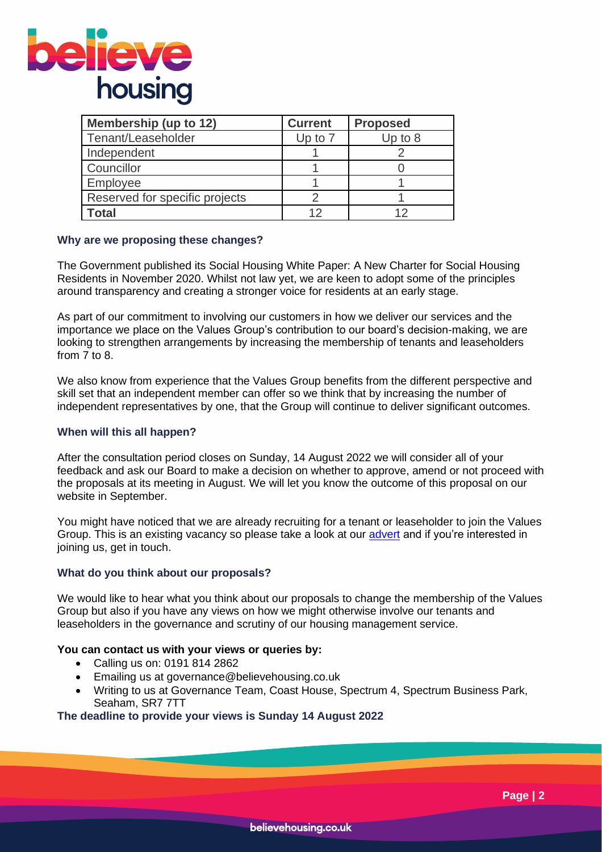

| <b>Membership (up to 12)</b>   | <b>Current</b> | <b>Proposed</b> |
|--------------------------------|----------------|-----------------|
| Tenant/Leaseholder             | Up to $7$      | Up to $8$       |
| Independent                    |                |                 |
| Councillor                     |                |                 |
| Employee                       |                |                 |
| Reserved for specific projects |                |                 |
| <b>c</b> otal                  |                | 1つ              |

### **Why are we proposing these changes?**

The Government published its Social Housing White Paper: A New Charter for Social Housing Residents in November 2020. Whilst not law yet, we are keen to adopt some of the principles around transparency and creating a stronger voice for residents at an early stage.

As part of our commitment to involving our customers in how we deliver our services and the importance we place on the Values Group's contribution to our board's decision-making, we are looking to strengthen arrangements by increasing the membership of tenants and leaseholders from 7 to 8.

We also know from experience that the Values Group benefits from the different perspective and skill set that an independent member can offer so we think that by increasing the number of independent representatives by one, that the Group will continue to deliver significant outcomes.

### **When will this all happen?**

After the consultation period closes on Sunday, 14 August 2022 we will consider all of your feedback and ask our Board to make a decision on whether to approve, amend or not proceed with the proposals at its meeting in August. We will let you know the outcome of this proposal on our website in September.

You might have noticed that we are already recruiting for a tenant or leaseholder to join the Values Group. This is an existing vacancy so please take a look at our [advert](https://www.believehousing.co.uk/latest-news/exciting-opportunity-to-join-believe-housings-values-group/) and if you're interested in joining us, get in touch.

### **What do you think about our proposals?**

We would like to hear what you think about our proposals to change the membership of the Values Group but also if you have any views on how we might otherwise involve our tenants and leaseholders in the governance and scrutiny of our housing management service.

### **You can contact us with your views or queries by:**

- Calling us on: 0191 814 2862
- Emailing us at governance@believehousing.co.uk
- Writing to us at Governance Team, Coast House, Spectrum 4, Spectrum Business Park, Seaham, SR7 7TT

### **The deadline to provide your views is Sunday 14 August 2022**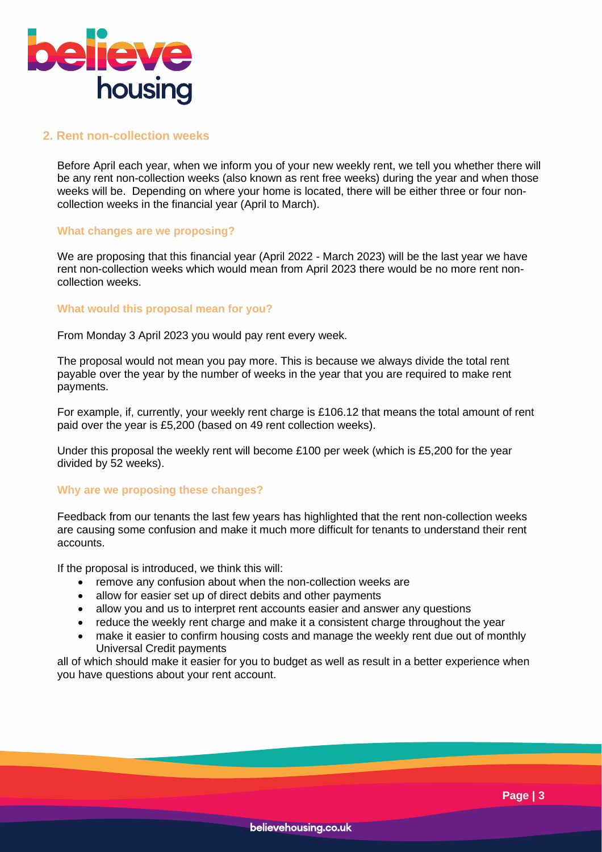

# **2. Rent non-collection weeks**

Before April each year, when we inform you of your new weekly rent, we tell you whether there will be any rent non-collection weeks (also known as rent free weeks) during the year and when those weeks will be. Depending on where your home is located, there will be either three or four noncollection weeks in the financial year (April to March).

### **What changes are we proposing?**

We are proposing that this financial year (April 2022 - March 2023) will be the last year we have rent non-collection weeks which would mean from April 2023 there would be no more rent noncollection weeks.

# **What would this proposal mean for you?**

From Monday 3 April 2023 you would pay rent every week.

The proposal would not mean you pay more. This is because we always divide the total rent payable over the year by the number of weeks in the year that you are required to make rent payments.

For example, if, currently, your weekly rent charge is £106.12 that means the total amount of rent paid over the year is £5,200 (based on 49 rent collection weeks).

Under this proposal the weekly rent will become £100 per week (which is £5,200 for the year divided by 52 weeks).

# **Why are we proposing these changes?**

Feedback from our tenants the last few years has highlighted that the rent non-collection weeks are causing some confusion and make it much more difficult for tenants to understand their rent accounts.

If the proposal is introduced, we think this will:

- remove any confusion about when the non-collection weeks are
- allow for easier set up of direct debits and other payments
- allow you and us to interpret rent accounts easier and answer any questions
- reduce the weekly rent charge and make it a consistent charge throughout the year
- make it easier to confirm housing costs and manage the weekly rent due out of monthly Universal Credit payments

all of which should make it easier for you to budget as well as result in a better experience when you have questions about your rent account.